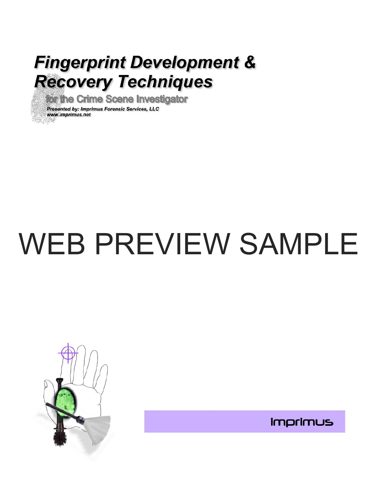# **Fingerprint Development & Recovery Techniques**

for the Crime Scene Investigator

Presented by: Imprimus Forensic Services, LLC www.imprimus.net

# WEB PREVIEW SAMPLE



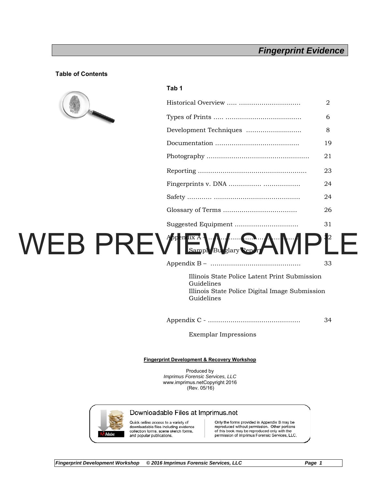# *Fingerprint Evidence*

#### **Table of Contents**



#### **Tab 1**

|                        | 2  |
|------------------------|----|
|                        | 6  |
| Development Techniques | 8  |
|                        | 19 |
|                        | 21 |
|                        | 23 |
|                        | 24 |
|                        | 24 |
|                        | 26 |
|                        | 31 |

# Appendix A – ………………………. …………… 32 **Sample Burglary Report** WEB PREVIEW WAY SAMPLE

|  | Illinois State Police Latent Print Submission |  |
|--|-----------------------------------------------|--|

Guidelines Illinois State Police Digital Image Submission Guidelines

Appendix C - ……………………………………… 34

Exemplar Impressions

#### **Fingerprint Development & Recovery Workshop**

Produced by *Imprimus Forensic Services, LLC*  www.imprimus.netCopyright 2016 (Rev. 05/16)



#### Downloadable Files at Imprimus.net

Quick online access to a variety of downloadable files including evidence collection forms, scene sketch forms. and popular publications.

Only the forms provided in Appendix B may be reproduced without permission. Other portions<br>of this book may be reproduced only with the permission of Imprimus Forensic Services, LLC.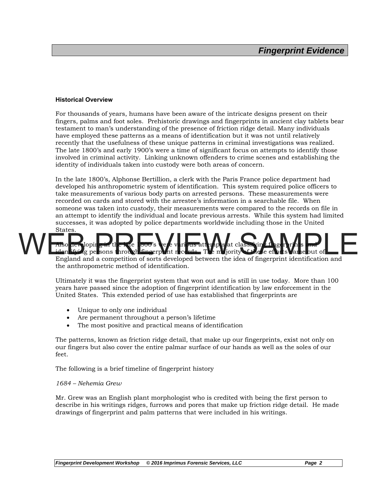#### **Historical Overview**

For thousands of years, humans have been aware of the intricate designs present on their fingers, palms and foot soles. Prehistoric drawings and fingerprints in ancient clay tablets bear testament to man's understanding of the presence of friction ridge detail. Many individuals have employed these patterns as a means of identification but it was not until relatively recently that the usefulness of these unique patterns in criminal investigations was realized. The late 1800's and early 1900's were a time of significant focus on attempts to identify those involved in criminal activity. Linking unknown offenders to crime scenes and establishing the identity of individuals taken into custody were both areas of concern.

In the late 1800's, Alphonse Bertillion, a clerk with the Paris France police department had developed his anthropometric system of identification. This system required police officers to take measurements of various body parts on arrested persons. These measurements were recorded on cards and stored with the arrestee's information in a searchable file. When someone was taken into custody, their measurements were compared to the records on file in an attempt to identify the individual and locate previous arrests. While this system had limited successes, it was adopted by police departments worldwide including those in the United States.

### Also developing in the late 1800's were various attempts at classifying fingerprints and ig persons through fingerprint records. The majority of these ef England and a competition of sorts developed between the idea of fingerprint identification and the anthropometric method of identification.

Ultimately it was the fingerprint system that won out and is still in use today. More than 100 years have passed since the adoption of fingerprint identification by law enforcement in the United States. This extended period of use has established that fingerprints are

- Unique to only one individual
- Are permanent throughout a person's lifetime
- The most positive and practical means of identification

The patterns, known as friction ridge detail, that make up our fingerprints, exist not only on our fingers but also cover the entire palmar surface of our hands as well as the soles of our feet.

The following is a brief timeline of fingerprint history

#### *1684 – Nehemia Grew*

Mr. Grew was an English plant morphologist who is credited with being the first person to describe in his writings ridges, furrows and pores that make up friction ridge detail. He made drawings of fingerprint and palm patterns that were included in his writings.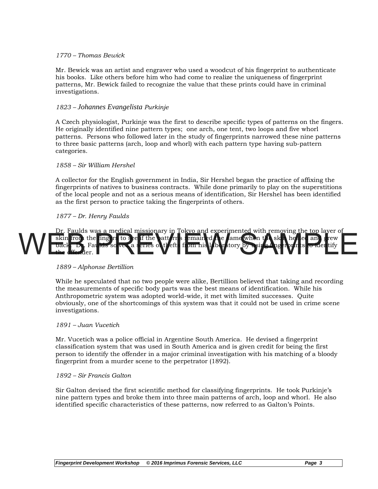#### *1770 – Thomas Bewick*

Mr. Bewick was an artist and engraver who used a woodcut of his fingerprint to authenticate his books. Like others before him who had come to realize the uniqueness of fingerprint patterns, Mr. Bewick failed to recognize the value that these prints could have in criminal investigations.

#### *1823 – Johannes Evangelista Purkinje*

A Czech physiologist, Purkinje was the first to describe specific types of patterns on the fingers. He originally identified nine pattern types; one arch, one tent, two loops and five whorl patterns. Persons who followed later in the study of fingerprints narrowed these nine patterns to three basic patterns (arch, loop and whorl) with each pattern type having sub-pattern categories.

#### *1858 – Sir William Hershel*

A collector for the English government in India, Sir Hershel began the practice of affixing the fingerprints of natives to business contracts. While done primarily to play on the superstitions of the local people and not as a serious means of identification, Sir Hershel has been identified as the first person to practice taking the fingerprints of others.

#### *1877 – Dr. Henry Faulds*

Dr. Faulds was a medical missionary in Tokyo and experimented with removing the top layer of<br>skin from the ling rs to see if the attricit rust emain did be lame when the skin healed and srew skin from the fingers to see if the patterns remained the same when the skin healed back. Dr. Faulds so ver a series of thefts from his labor tory by using fingerprints to identify the offender. WEB PREVIEW SAMPLE SALLER STATES OF THE SALLER STATES OF THE SALLER STATES OF THE SALLER STATES OF THE SALLER STATES OF THE SALLER STATES OF THE SALLER STATES OF THE SALLER STATES OF THE SALLER STATES OF THE SALLER STATES

#### *1889 – Alphonse Bertillion*

While he speculated that no two people were alike, Bertillion believed that taking and recording the measurements of specific body parts was the best means of identification. While his Anthropometric system was adopted world-wide, it met with limited successes. Quite obviously, one of the shortcomings of this system was that it could not be used in crime scene investigations.

#### *1891 – Juan Vucetich*

Mr. Vucetich was a police official in Argentine South America. He devised a fingerprint classification system that was used in South America and is given credit for being the first person to identify the offender in a major criminal investigation with his matching of a bloody fingerprint from a murder scene to the perpetrator (1892).

#### *1892 – Sir Francis Galton*

Sir Galton devised the first scientific method for classifying fingerprints. He took Purkinje's nine pattern types and broke them into three main patterns of arch, loop and whorl. He also identified specific characteristics of these patterns, now referred to as Galton's Points.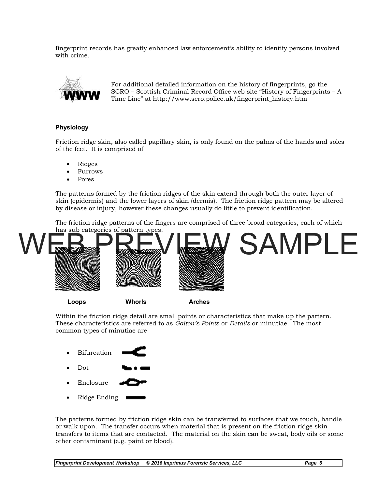fingerprint records has greatly enhanced law enforcement's ability to identify persons involved with crime.



For additional detailed information on the history of fingerprints, go the SCRO – Scottish Criminal Record Office web site "History of Fingerprints – A Time Line" at http://www.scro.police.uk/fingerprint\_history.htm

#### **Physiology**

Friction ridge skin, also called papillary skin, is only found on the palms of the hands and soles of the feet. It is comprised of

- Ridges
- Furrows
- Pores

The patterns formed by the friction ridges of the skin extend through both the outer layer of skin (epidermis) and the lower layers of skin (dermis). The friction ridge pattern may be altered by disease or injury, however these changes usually do little to prevent identification.

The friction ridge patterns of the fingers are comprised of three broad categories, each of which has sub categories of pattern types.



**Loops Whorls Arches** 

Within the friction ridge detail are small points or characteristics that make up the pattern. These characteristics are referred to as *Galton's Points* or *Details* or minutiae. The most common types of minutiae are



The patterns formed by friction ridge skin can be transferred to surfaces that we touch, handle or walk upon. The transfer occurs when material that is present on the friction ridge skin transfers to items that are contacted. The material on the skin can be sweat, body oils or some other contaminant (e.g. paint or blood).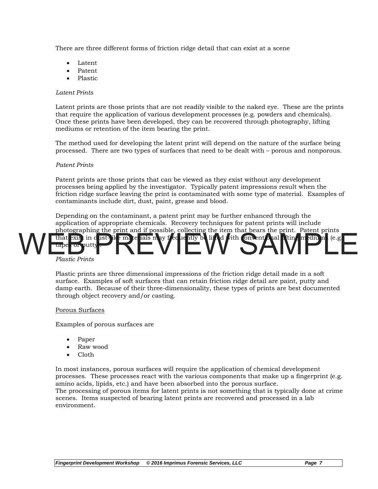There are three different forms of friction ridge detail that can exist at a scene

- Latent
- Patent
- Plastic

#### *Latent Prints*

Latent prints are those prints that are not readily visible to the naked eye. These are the prints that require the application of various development processes (e.g. powders and chemicals). Once these prints have been developed, they can be recovered through photography, lifting mediums or retention of the item bearing the print.

The method used for developing the latent print will depend on the nature of the surface being processed. There are two types of surfaces that need to be dealt with – porous and nonporous.

#### *Patent Prints*

Patent prints are those prints that can be viewed as they exist without any development processes being applied by the investigator. Typically patent impressions result when the friction ridge surface leaving the print is contaminated with some type of material. Examples of contaminants include dirt, dust, paint, grease and blood.

Depending on the contaminant, a patent print may be further enhanced through the application of appropriate chemicals. Recovery techniques for patent prints will include photographing the print and if possible, collecting the item that bears the print. Patent prints that exist in dust-like materials may frequently be lifted with conventional lifting mediu tapes or putty WEB PLACE PRINT OF THE PLACE OF THE PLACE OF THE PLACE OF THE PLACE OF THE PLACE OF THE PLACE OF THE PLACE OF THE PLACE OF THE PLACE OF THE PLACE OF THE PLACE OF THE PLACE OF THE PLACE OF THE PLACE OF THE PLACE OF THE PLAC

#### *Plastic Prints*

Plastic prints are three dimensional impressions of the friction ridge detail made in a soft surface. Examples of soft surfaces that can retain friction ridge detail are paint, putty and damp earth. Because of their three-dimensionality, these types of prints are best documented through object recovery and/or casting.

#### Porous Surfaces

Examples of porous surfaces are

- Paper
- Raw wood
- Cloth

In most instances, porous surfaces will require the application of chemical development processes. These processes react with the various components that make up a fingerprint (e.g. amino acids, lipids, etc.) and have been absorbed into the porous surface. The processing of porous items for latent prints is not something that is typically done at crime scenes. Items suspected of bearing latent prints are recovered and processed in a lab environment.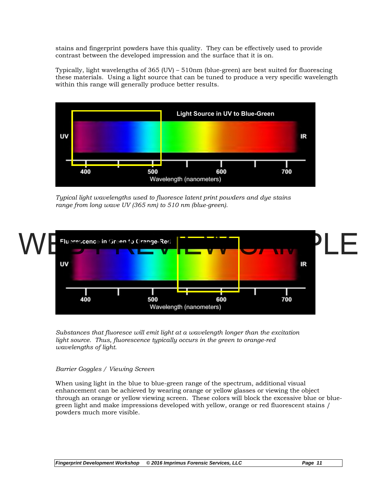stains and fingerprint powders have this quality. They can be effectively used to provide contrast between the developed impression and the surface that it is on.

Typically, light wavelengths of 365 (UV) – 510nm (blue-green) are best suited for fluorescing these materials. Using a light source that can be tuned to produce a very specific wavelength within this range will generally produce better results.



*Typical light wavelengths used to fluoresce latent print powders and dye stains range from long wave UV (365 nm) to 510 nm (blue-green).* 



*Substances that fluoresce will emit light at a wavelength longer than the excitation light source. Thus, fluorescence typically occurs in the green to orange-red wavelengths of light.* 

#### *Barrier Goggles / Viewing Screen*

When using light in the blue to blue-green range of the spectrum, additional visual enhancement can be achieved by wearing orange or yellow glasses or viewing the object through an orange or yellow viewing screen. These colors will block the excessive blue or bluegreen light and make impressions developed with yellow, orange or red fluorescent stains / powders much more visible.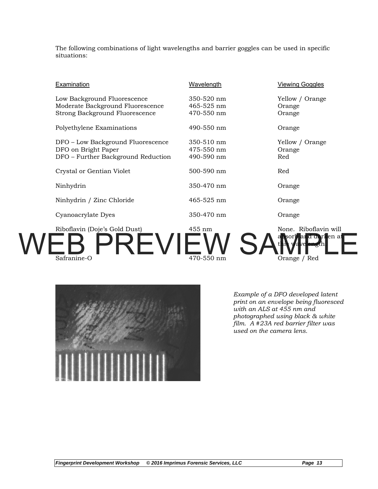The following combinations of light wavelengths and barrier goggles can be used in specific situations:

| <b>Examination</b>                                                                                | <b>Wavelength</b>                      | <b>Viewing Goggles</b>                                                |
|---------------------------------------------------------------------------------------------------|----------------------------------------|-----------------------------------------------------------------------|
| Low Background Fluorescence<br>Moderate Background Fluorescence<br>Strong Background Fluorescence | 350-520 nm<br>465-525 nm<br>470-550 nm | Yellow / Orange<br>Orange<br>Orange                                   |
| Polyethylene Examinations                                                                         | 490-550 nm                             | Orange                                                                |
| DFO - Low Background Fluorescence<br>DFO on Bright Paper<br>DFO - Further Background Reduction    | 350-510 nm<br>475-550 nm<br>490-590 nm | Yellow / Orange<br>Orange<br>Red                                      |
| Crystal or Gentian Violet                                                                         | 500-590 nm                             | Red                                                                   |
| Ninhydrin                                                                                         | 350-470 nm                             | Orange                                                                |
| Ninhydrin / Zinc Chloride                                                                         | 465-525 nm                             | Orange                                                                |
| Cyanoacrylate Dyes                                                                                | 350-470 nm                             | Orange                                                                |
| Riboflavin (Doje's Gold Dust)<br>Safranine-O                                                      | 455 nm<br>470-550 nm                   | None. Riboflavin will<br><b>1d dark</b> en at<br>, a1<br>Orange / Red |



*Example of a DFO developed latent print on an envelope being fluoresced with an ALS at 455 nm and photographed using black & white film. A #23A red barrier filter was used on the camera lens.*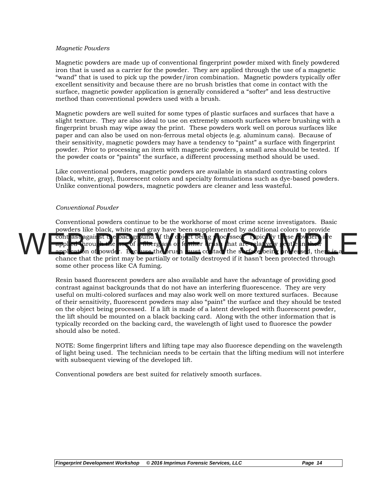#### *Magnetic Powders*

Magnetic powders are made up of conventional fingerprint powder mixed with finely powdered iron that is used as a carrier for the powder. They are applied through the use of a magnetic "wand" that is used to pick up the powder/iron combination. Magnetic powders typically offer excellent sensitivity and because there are no brush bristles that come in contact with the surface, magnetic powder application is generally considered a "softer" and less destructive method than conventional powders used with a brush.

Magnetic powders are well suited for some types of plastic surfaces and surfaces that have a slight texture. They are also ideal to use on extremely smooth surfaces where brushing with a fingerprint brush may wipe away the print. These powders work well on porous surfaces like paper and can also be used on non-ferrous metal objects (e.g. aluminum cans). Because of their sensitivity, magnetic powders may have a tendency to "paint" a surface with fingerprint powder. Prior to processing an item with magnetic powders, a small area should be tested. If the powder coats or "paints" the surface, a different processing method should be used.

Like conventional powders, magnetic powders are available in standard contrasting colors (black, white, gray), fluorescent colors and specialty formulations such as dye-based powders. Unlike conventional powders, magnetic powders are cleaner and less wasteful.

#### *Conventional Powder*

Conventional powders continue to be the workhorse of most crime scene investigators. Basic powders like black, white and gray have been supplemented by additional colors to provide contrast against the background of the object being processed. Typically these powders are powerful the sentie applied through the use of a fiberglass or feather brush that are relatively gentle in their application of powder. Because the brush must collided the surface being proles sed, there is a chance that the print may be partially or totally destroyed if it hasn't been protected through some other process like CA fuming. WEB And the state of the state of the state of the state of the state of the state of the state of the state of the state of the state of the state of the state of the state of the state of the state of the state of the st

> Resin based fluorescent powders are also available and have the advantage of providing good contrast against backgrounds that do not have an interfering fluorescence. They are very useful on multi-colored surfaces and may also work well on more textured surfaces. Because of their sensitivity, fluorescent powders may also "paint" the surface and they should be tested on the object being processed. If a lift is made of a latent developed with fluorescent powder, the lift should be mounted on a black backing card. Along with the other information that is typically recorded on the backing card, the wavelength of light used to fluoresce the powder should also be noted.

> NOTE: Some fingerprint lifters and lifting tape may also fluoresce depending on the wavelength of light being used. The technician needs to be certain that the lifting medium will not interfere with subsequent viewing of the developed lift.

Conventional powders are best suited for relatively smooth surfaces.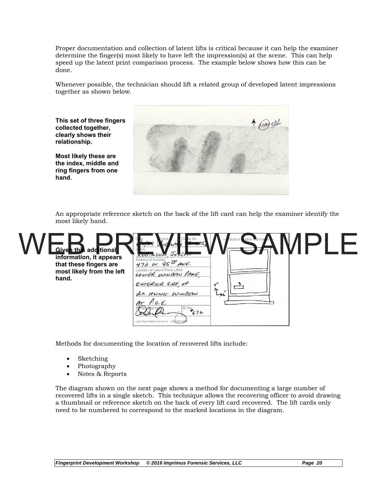Proper documentation and collection of latent lifts is critical because it can help the examiner determine the finger(s) most likely to have left the impression(s) at the scene. This can help speed up the latent print comparison process. The example below shows how this can be done.

Whenever possible, the technician should lift a related group of developed latent impressions together as shown below.

**This set of three fingers collected together, clearly shows their relationship.** 

**Most likely these are the index, middle and ring fingers from one hand**.



An appropriate reference sketch on the back of the lift card can help the examiner identify the most likely hand.

| <b>Given this additional</b><br>ROBINSON<br>information, it appears<br>Address of Incident $472$ AUE.<br>that these fingers are<br>Location of Latent Prints Lifted<br>most likely from the left<br>LOWER WINDOW PANE<br>hand.<br>EXTERIOR SINE of<br>2x HUNG WINDOW<br>$P. o. \in.$<br>Lightning Powder Company 1-800-852-0 | $J$ os $\epsilon$<br>$407 +$ | $\mapsto$ |  |  |
|------------------------------------------------------------------------------------------------------------------------------------------------------------------------------------------------------------------------------------------------------------------------------------------------------------------------------|------------------------------|-----------|--|--|
|------------------------------------------------------------------------------------------------------------------------------------------------------------------------------------------------------------------------------------------------------------------------------------------------------------------------------|------------------------------|-----------|--|--|

Methods for documenting the location of recovered lifts include:

- Sketching
- Photography
- Notes & Reports

The diagram shown on the next page shows a method for documenting a large number of recovered lifts in a single sketch. This technique allows the recovering officer to avoid drawing a thumbnail or reference sketch on the back of every lift card recovered. The lift cards only need to be numbered to correspond to the marked locations in the diagram.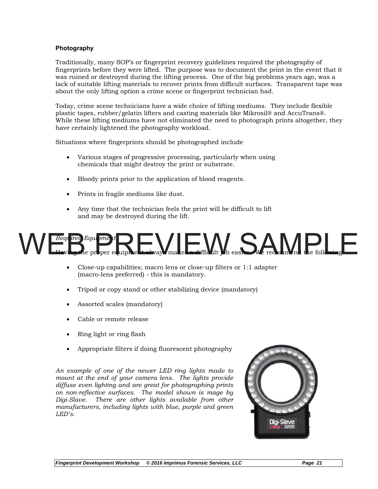#### **Photography**

Traditionally, many SOP's or fingerprint recovery guidelines required the photography of fingerprints before they were lifted. The purpose was to document the print in the event that it was ruined or destroyed during the lifting process. One of the big problems years ago, was a lack of suitable lifting materials to recover prints from difficult surfaces. Transparent tape was about the only lifting option a crime scene or fingerprint technician had.

Today, crime scene technicians have a wide choice of lifting mediums. They include flexible plastic tapes, rubber/gelatin lifters and casting materials like Mikrosil® and AccuTrans®. While these lifting mediums have not eliminated the need to photograph prints altogether, they have certainly lightened the photography workload.

Situations where fingerprints should be photographed include

- Various stages of progressive processing, particularly when using chemicals that might destroy the print or substrate.
- Bloody prints prior to the application of blood reagents.
- Prints in fragile mediums like dust.
- Any time that the technician feels the print will be difficult to lift and may be destroyed during the lift.

# *Required Equipment*  Having the proper equipment always makes a difficult job easier. We recommend the following WEB PREGNIER DE PREGNIER DE LA MONDE DE LA MONDE DE LA MONDE DE LA MONDE DE LA MONDE DE LA MONDE DE LA MONDE DE LA MONDE DE LA MONDE DE LA MONDE DE LA MONDE DE LA MONDE DE LA MONDE DE LA MONDE DE LA MONDE DE LA MONDE DE LA

- Close-up capabilities; macro lens or close-up filters or 1:1 adapter (macro-lens preferred) - this is mandatory.
- Tripod or copy stand or other stabilizing device (mandatory)
- Assorted scales (mandatory)
- Cable or remote release
- Ring light or ring flash
- Appropriate filters if doing fluorescent photography

*An example of one of the newer LED ring lights made to mount at the end of your camera lens. The lights provide diffuse even lighting and are great for photographing prints on non-reflective surfaces. The model shown is mage by Digi-Slave. There are other lights available from other manufacturers, including lights with blue, purple and green LED's.* 

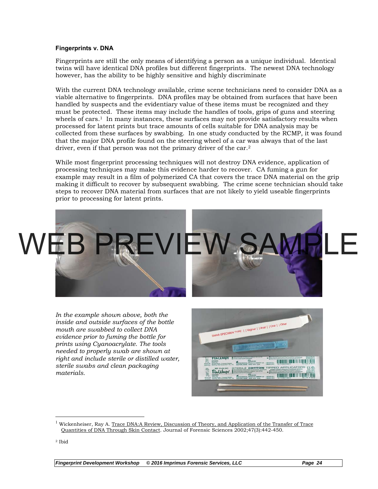#### **Fingerprints v. DNA**

Fingerprints are still the only means of identifying a person as a unique individual. Identical twins will have identical DNA profiles but different fingerprints. The newest DNA technology however, has the ability to be highly sensitive and highly discriminate

With the current DNA technology available, crime scene technicians need to consider DNA as a viable alternative to fingerprints. DNA profiles may be obtained from surfaces that have been handled by suspects and the evidentiary value of these items must be recognized and they must be protected. These items may include the handles of tools, grips of guns and steering wheels of cars.<sup>1</sup> In many instances, these surfaces may not provide satisfactory results when processed for latent prints but trace amounts of cells suitable for DNA analysis may be collected from these surfaces by swabbing. In one study conducted by the RCMP, it was found that the major DNA profile found on the steering wheel of a car was always that of the last driver, even if that person was not the primary driver of the car.<sup>2</sup>

While most fingerprint processing techniques will not destroy DNA evidence, application of processing techniques may make this evidence harder to recover. CA fuming a gun for example may result in a film of polymerized CA that covers the trace DNA material on the grip making it difficult to recover by subsequent swabbing. The crime scene technician should take steps to recover DNA material from surfaces that are not likely to yield useable fingerprints prior to processing for latent prints.



*In the example shown above, both the inside and outside surfaces of the bottle mouth are swabbed to collect DNA evidence prior to fuming the bottle for prints using Cyanoacrylate. The tools needed to properly swab are shown at right and include sterile or distilled water, sterile swabs and clean packaging materials.* 



<sup>&</sup>lt;sup>1</sup> Wickenheiser, Ray A. Trace DNA:A Review, Discussion of Theory, and Application of the Transfer of Trace Quantities of DNA Through Skin Contact. Journal of Forensic Sciences 2002;47(3):442-450.

 $\overline{a}$ 

<sup>2</sup> Ibid